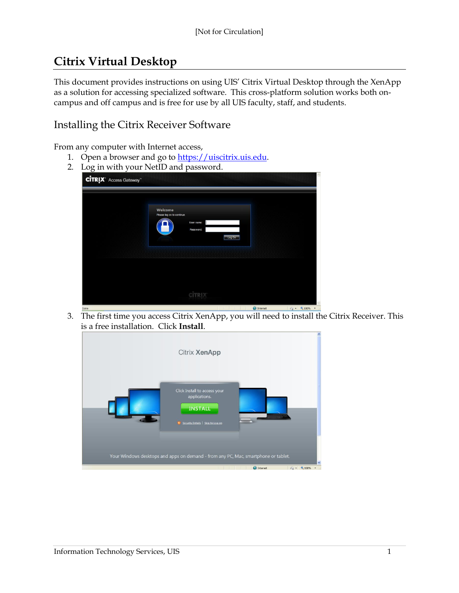# **Citrix Virtual Desktop**

This document provides instructions on using UIS' Citrix Virtual Desktop through the XenApp as a solution for accessing specialized software. This cross-platform solution works both oncampus and off campus and is free for use by all UIS faculty, staff, and students.

## Installing the Citrix Receiver Software

From any computer with Internet access,

- 1. Open a browser and go to [https://uiscitrix.uis.edu.](https://uiscitrix.uis.edu/)
- 2. Log in with your NetID and password.

| <u>- 0</u><br><b>CITRIX</b> Access Gateway |                                       |                                   |  |
|--------------------------------------------|---------------------------------------|-----------------------------------|--|
|                                            | Welcome<br>Please log on to continue. | User name:<br>Password:<br>Log On |  |
|                                            |                                       | <b>CİTRI</b>                      |  |

3. The first time you access Citrix XenApp, you will need to install the Citrix Receiver. This is a free installation. Click **Install**.

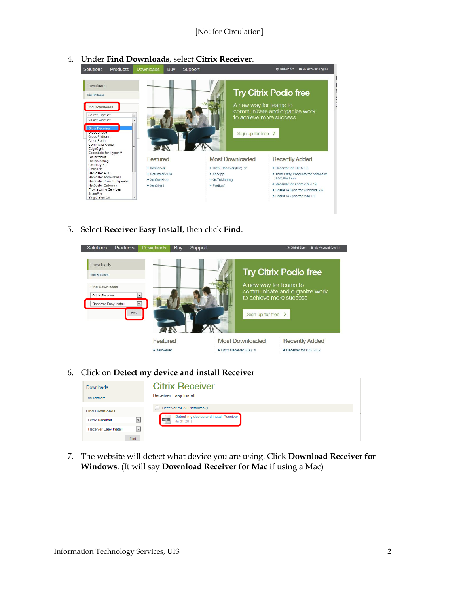

4. Under **Find Downloads**, select **Citrix Receiver**.

5. Select **Receiver Easy Install**, then click **Find**.



6. Click on **Detect my device and install Receiver**

| <b>Downloads</b>                                                | <b>Citrix Receiver</b>                                                                                           |
|-----------------------------------------------------------------|------------------------------------------------------------------------------------------------------------------|
| <b>Trial Software</b>                                           | <b>Receiver Easy Install</b>                                                                                     |
| <b>Find Downloads</b><br>$\cdot$<br><b>Citrix Receiver</b>      | $\equiv$ Receiver for All Platforms (1)<br>Detect my device and install Receiver<br><b>MULTI</b><br>Jul 31, 2012 |
| --<br>$\overline{\phantom{a}}$<br>Receiver Easy Install<br>Find |                                                                                                                  |

7. The website will detect what device you are using. Click **Download Receiver for Windows**. (It will say **Download Receiver for Mac** if using a Mac)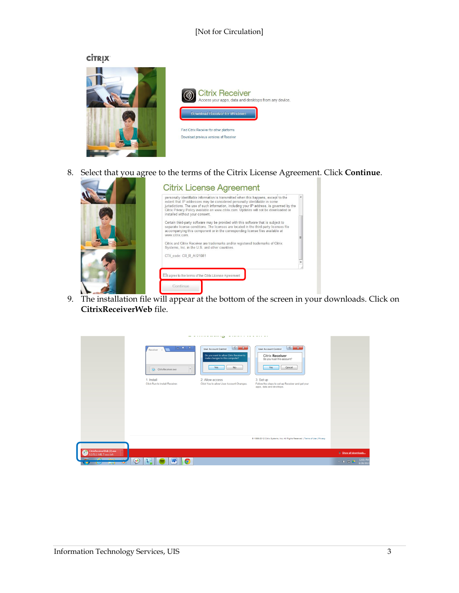#### [Not for Circulation]

**CİTRIX** 



8. Select that you agree to the terms of the Citrix License Agreement. Click **Continue**.



9. The installation file will appear at the bottom of the screen in your downloads. Click on **CitrixReceiverWeb** file.

|                                                                        |                                                                                                                                                                                                                           | $- - - - - - -$<br>----<br>ات                                                                                                                                                             | .                                                                                                                                                                                                            |                                  |
|------------------------------------------------------------------------|---------------------------------------------------------------------------------------------------------------------------------------------------------------------------------------------------------------------------|-------------------------------------------------------------------------------------------------------------------------------------------------------------------------------------------|--------------------------------------------------------------------------------------------------------------------------------------------------------------------------------------------------------------|----------------------------------|
|                                                                        | $\overline{\phantom{a}}$ $\overline{\phantom{a}}$ $\overline{\phantom{a}}$ $\overline{\phantom{a}}$<br>Receiver x<br>$\ddot{\circ}$<br>CitrixReceiver.exe<br>$\mathbf{v}$<br>1. Install<br>Click Run to install Receiver. | $ ? - x$<br>User Account Control<br>Do you want to allow Citrix Receiver to<br>make changes to this computer?<br>Yes<br>No<br>2. Allow access<br>Click Yes to allow User Account Changes. | $\gamma$ $\mathbf{x}$<br>User Account Control<br>Citrix Receiver<br>Do you trust this account?<br>Cancel<br>Yes<br>3. Set up<br>Follow the steps to set up Receiver and get your<br>apps, data and desktops. |                                  |
|                                                                        |                                                                                                                                                                                                                           |                                                                                                                                                                                           | @ 1999-2012 Citrix Systems, Inc. All Rights Reserved   Terms of Use   Privacy                                                                                                                                |                                  |
| CitrixReceiverWeb (2).exe<br>9.2/51.1 MB, 7 secs left                  |                                                                                                                                                                                                                           |                                                                                                                                                                                           |                                                                                                                                                                                                              | Show all downloads               |
| <b>COM</b><br><b>Card</b><br>$\left(\frac{1}{2}\right)$<br><b>Tart</b> | W.<br>เร<br><b>IC</b><br>∍                                                                                                                                                                                                |                                                                                                                                                                                           |                                                                                                                                                                                                              | 12:01 PM<br>$-0.91$<br>8/28/2013 |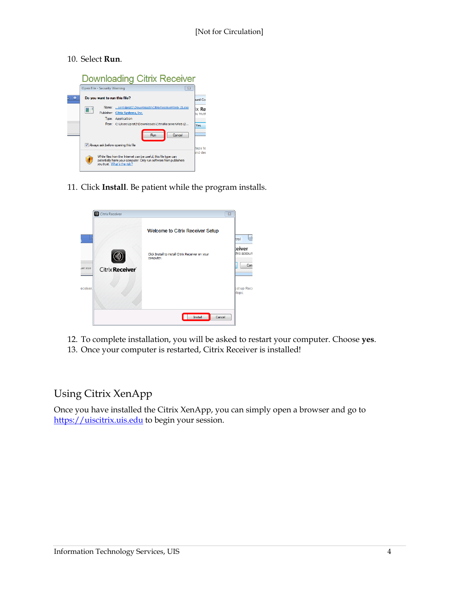#### 10. Select **Run**.



11. Click **Install**. Be patient while the program installs.



- 12. To complete installation, you will be asked to restart your computer. Choose **yes**.
- 13. Once your computer is restarted, Citrix Receiver is installed!

### Using Citrix XenApp

Once you have installed the Citrix XenApp, you can simply open a browser and go to [https://uiscitrix.uis.edu](https://uiscitrix.uis.edu/) to begin your session.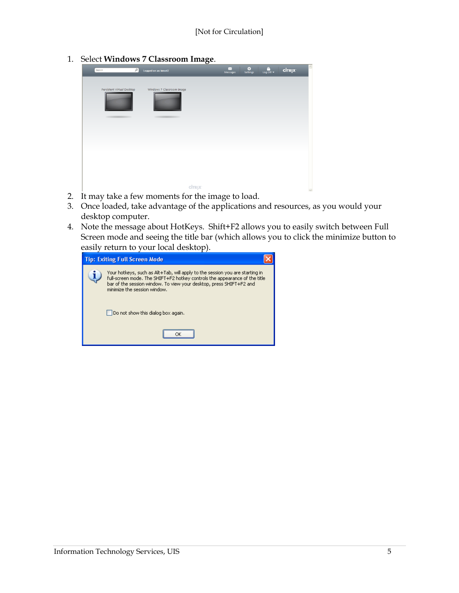1. Select **Windows 7 Classroom Image**.

| $\sim$<br>Search           | Logged on as: kmcel2      | $\bullet$<br>$\boxtimes$<br>Messages<br>Settings | $\widehat{\phantom{a}}$<br>$\frac{0}{\log \text{Off}}$<br><b>CİTRIX</b> |
|----------------------------|---------------------------|--------------------------------------------------|-------------------------------------------------------------------------|
| Persistent Virtual Desktop | Windows 7 Classroom Image |                                                  |                                                                         |
|                            |                           |                                                  |                                                                         |
|                            |                           |                                                  |                                                                         |
|                            | citrix                    |                                                  | $\sim$                                                                  |

- 2. It may take a few moments for the image to load.
- 3. Once loaded, take advantage of the applications and resources, as you would your desktop computer.
- 4. Note the message about HotKeys. Shift+F2 allows you to easily switch between Full Screen mode and seeing the title bar (which allows you to click the minimize button to easily return to your local desktop).

| <b>Tip: Exiting Full Screen Mode</b> |                                                                                                                                                                                                                                                                   |  |
|--------------------------------------|-------------------------------------------------------------------------------------------------------------------------------------------------------------------------------------------------------------------------------------------------------------------|--|
|                                      | Your hotkeys, such as Alt+Tab, will apply to the session you are starting in<br>full-screen mode. The SHIFT+F2 hotkey controls the appearance of the title<br>bar of the session window. To view your desktop, press SHIFT+F2 and<br>minimize the session window. |  |
|                                      | Do not show this dialog box again.                                                                                                                                                                                                                                |  |
|                                      |                                                                                                                                                                                                                                                                   |  |